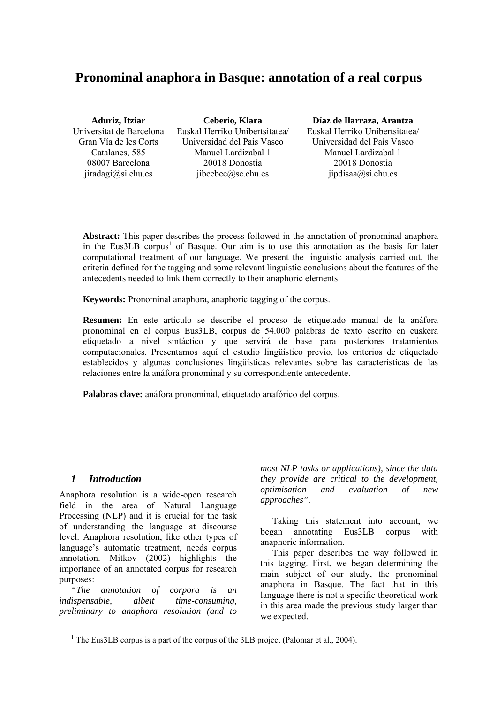# **Pronominal anaphora in Basque: annotation of a real corpus**

| Aduriz, Itziar           | Ceberio, Klara                 | <b>Díaz</b> |
|--------------------------|--------------------------------|-------------|
| Universitat de Barcelona | Euskal Herriko Unibertsitatea/ | Euska       |
| Gran Vía de les Corts    | Universidad del País Vasco     | Univ        |
| Catalanes, 585           | Manuel Lardizabal 1            | N           |
| 08007 Barcelona          | 20018 Donostia                 |             |
| jiradagi@si.ehu.es       | jibcebec@sc.ehu.es             |             |
|                          |                                |             |

**Díaz de Ilarraza, Arantza**  Euskal Herriko Unibertsitatea/ Universidad del País Vasco Manuel Lardizabal 1 20018 Donostia jipdisaa@si.ehu.es

**Abstract:** This paper describes the process followed in the annotation of pronominal anaphora in the Eus3LB corpus<sup>1</sup> of Basque. Our aim is to use this annotation as the basis for later computational treatme[nt](#page-0-0) of our language. We present the linguistic analysis carried out, the criteria defined for the tagging and some relevant linguistic conclusions about the features of the antecedents needed to link them correctly to their anaphoric elements.

**Keywords:** Pronominal anaphora, anaphoric tagging of the corpus.

**Resumen:** En este artículo se describe el proceso de etiquetado manual de la anáfora pronominal en el corpus Eus3LB, corpus de 54.000 palabras de texto escrito en euskera etiquetado a nivel sintáctico y que servirá de base para posteriores tratamientos computacionales. Presentamos aquí el estudio lingüístico previo, los criterios de etiquetado establecidos y algunas conclusiones lingüísticas relevantes sobre las características de las relaciones entre la anáfora pronominal y su correspondiente antecedente.

**Palabras clave:** anáfora pronominal, etiquetado anafórico del corpus.

#### *1 Introduction*

Anaphora resolution is a wide-open research field in the area of Natural Language Processing (NLP) and it is crucial for the task of understanding the language at discourse level. Anaphora resolution, like other types of language's automatic treatment, needs corpus annotation. Mitkov (2002) highlights the importance of an annotated corpus for research purposes:

*"The annotation of corpora is an indispensable, albeit time-consuming, preliminary to anaphora resolution (and to*  *most NLP tasks or applications), since the data they provide are critical to the development, optimisation and evaluation of new approaches".* 

Taking this statement into account, we began annotating Eus3LB corpus with anaphoric information.

This paper describes the way followed in this tagging. First, we began determining the main subject of our study, the pronominal anaphora in Basque. The fact that in this language there is not a specific theoretical work in this area made the previous study larger than we expected.

<span id="page-0-0"></span> $\frac{1}{1}$ <sup>1</sup> The Eus3LB corpus is a part of the corpus of the 3LB project (Palomar et al., 2004).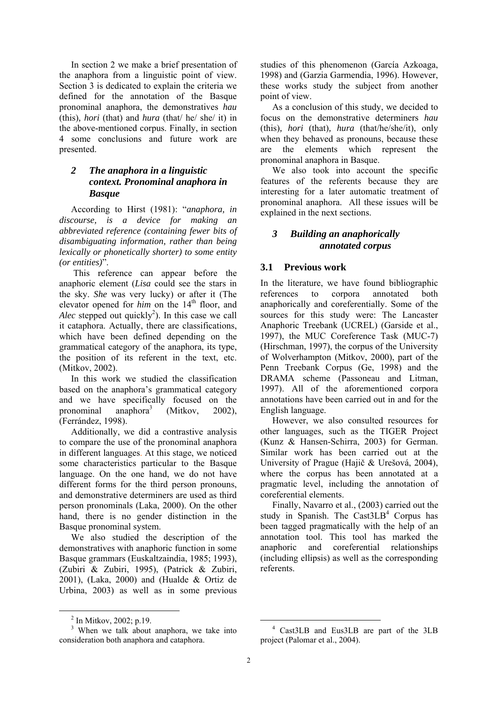In section 2 we make a brief presentation of the anaphora from a linguistic point of view. Section 3 is dedicated to explain the criteria we defined for the annotation of the Basque pronominal anaphora, the demonstratives *hau*  (this)*, hori* (that) and *hura* (that/ he/ she/ it) in the above-mentioned corpus. Finally, in section 4 some conclusions and future work are presented.

## *2 The anaphora in a linguistic context. Pronominal anaphora in Basque*

According to Hirst (1981): "*anaphora, in discourse, is a device for making an abbreviated reference (containing fewer bits of disambiguating information, rather than being lexically or phonetically shorter) to some entity (or entities)*".

This reference can appear before the anaphoric element (*Lisa* could see the stars in the sky. *She* was very lucky) or after it (The elevator opened for *him* on the 14<sup>th</sup> floor, and *Alec* stepped out quickly<sup>[2](#page-1-0)</sup>). In this case we call it cataphora. Actually, there are classifications, which have been defined depending on the grammatical category of the anaphora, its type, the position of its referent in the text, etc. (Mitkov, 2002).

In this work we studied the classification based on the anaphora's grammatical category and we have specifically focused on the pronominal anaphora<sup>[3](#page-1-1)</sup> (Mitkov, 2002), (Ferrández, 1998).

Additionally, we did a contrastive analysis to compare the use of the pronominal anaphora in different languages. At this stage, we noticed some characteristics particular to the Basque language. On the one hand, we do not have different forms for the third person pronouns, and demonstrative determiners are used as third person pronominals (Laka, 2000). On the other hand, there is no gender distinction in the Basque pronominal system.

We also studied the description of the demonstratives with anaphoric function in some Basque grammars (Euskaltzaindia, 1985; 1993), (Zubiri & Zubiri, 1995), (Patrick & Zubiri, 2001), (Laka, 2000) and (Hualde & Ortiz de Urbina, 2003) as well as in some previous

l

studies of this phenomenon (García Azkoaga, 1998) and (Garzia Garmendia, 1996). However, these works study the subject from another point of view.

As a conclusion of this study, we decided to focus on the demonstrative determiners *hau* (this)*, hori* (that)*, hura* (that/he/she/it), only when they behaved as pronouns, because these are the elements which represent the pronominal anaphora in Basque.

We also took into account the specific features of the referents because they are interesting for a later automatic treatment of pronominal anaphora. All these issues will be explained in the next sections.

### *3 Building an anaphorically annotated corpus*

### **3.1 Previous work**

In the literature, we have found bibliographic references to corpora annotated both anaphorically and coreferentially. Some of the sources for this study were: The Lancaster Anaphoric Treebank (UCREL) (Garside et al., 1997), the MUC Coreference Task (MUC-7) (Hirschman, 1997), the corpus of the University of Wolverhampton (Mitkov, 2000), part of the Penn Treebank Corpus (Ge, 1998) and the DRAMA scheme (Passoneau and Litman, 1997). All of the aforementioned corpora annotations have been carried out in and for the English language.

However, we also consulted resources for other languages, such as the TIGER Project (Kunz & Hansen-Schirra, 2003) for German. Similar work has been carried out at the University of Prague (Hajič & Urešová, 2004), where the corpus has been annotated at a pragmatic level, including the annotation of coreferential elements.

Finally, Navarro et al., (2003) carried out the studyin Spanish. The Cast $3LB<sup>4</sup>$  Corpus has been tagged pragmatically with the help of an annotation tool. This tool has marked the anaphoric and coreferential relationships (including ellipsis) as well as the corresponding referents.

<span id="page-1-1"></span><span id="page-1-0"></span> $^{2}$  In Mitkov, 2002; p.19.

 $3$  When we talk about anaphora, we take into consideration both anaphora and cataphora.

<span id="page-1-2"></span><sup>4</sup> Cast3LB and Eus3LB are part of the 3LB project (Palomar et al., 2004).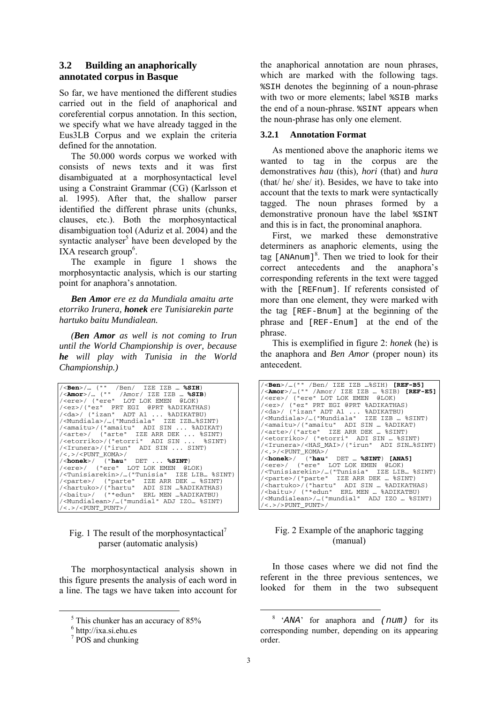### **3.2 Building an anaphorically annotated corpus in Basque**

So far, we have mentioned the different studies carried out in the field of anaphorical and coreferential corpus annotation. In this section, we specify what we have already tagged in the Eus3LB Corpus and we explain the criteria defined for the annotation.

The 50.000 words corpus we worked with consists of news texts and it was first disambiguated at a morphosyntactical level using a Constraint Grammar (CG) (Karlsson et al. 1995). After that, the shallow parser identified the different phrase units (chunks, clauses, etc.). Both the morphosyntactical disambiguation tool (Aduriz et al. 2004) and the syntactic analyser<sup>5</sup> have been developed by the IXA research group<sup>6</sup>.

The example in figure 1 shows the morphosyntactic analysis, which is our starting point for anaphora's annotation.

*Ben Amor ere ez da Mundiala amaitu arte etorriko Irunera, honek ere Tunisiarekin parte hartuko baitu Mundialean.*

*(Ben Amor as well is not coming to Irun until the World Championship is over, because he will play with Tunisia in the World Championship.)* 

| $/\langle$ Ben>/ ("" /Ben/ IZE IZB  %SIH)                 |
|-----------------------------------------------------------|
| / <amor>/ ("" /Amor/ IZE IZB  %SIB)</amor>                |
| / <ere>/ ("ere" LOT LOK EMEN @LOK)</ere>                  |
| / <ez>/("ez" PRT EGI @PRT %ADIKATHAS)</ez>                |
| / <da>/ ("izan" ADT A1  %ADIKATBU)</da>                   |
| / <mundiala>/("Mundiala" IZE IZB%SINT)</mundiala>         |
| / <amaitu>/("amaitu" ADI SIN  %ADIKAT)</amaitu>           |
| / <arte>/ ("arte" IZE ARR DEK  %SINT)</arte>              |
| / <etorriko>/("etorri" ADI SIN  %SINT)</etorriko>         |
| / <irunera>/("irun" ADI SIN  SINT)</irunera>              |
| $/<, >/<$ PUNT KOMA>/                                     |
| $\angle$ <honek>/ ("hau" DET  %SINT)</honek>              |
| / <ere>/ ("ere" LOT LOK EMEN @LOK)</ere>                  |
| / <tunisiarekin>/("Tunisia" IZE LIB %SINT)</tunisiarekin> |
| / <parte>/ ("parte" IZE ARR DEK  %SINT)</parte>           |
| / <hartuko>/("hartu" ADI SIN %ADIKATHAS)</hartuko>        |
| / <baitu>/ ("*edun" ERL MEN %ADIKATBU)</baitu>            |
| / <mundialean>/("mundial" ADJ IZO %SINT)</mundialean>     |
| $/<.>/<$ PUNT PUNT>/                                      |

### Fig. 1 The result of the morphosyntactical<sup>[7](#page-2-2)</sup> parser (automatic analysis)

The morphosyntactical analysis shown in this figure presents the analysis of each word in a line. The tags we have taken into account for the anaphorical annotation are noun phrases, which are marked with the following tags. %SIH denotes the beginning of a noun-phrase with two or more elements; label \$SIB marks the end of a noun-phrase. %SINT appears when the noun-phrase has only one element.

## **3.2.1 Annotation Format**

As mentioned above the anaphoric items we wanted to tag in the corpus are the demonstratives *hau* (this)*, hori* (that) and *hura* (that/ he/ she/ it). Besides, we have to take into account that the texts to mark were syntactically tagged. The noun phrases formed by a demonstrative pronoun have the label %SINT and this is in fact, the pronominal anaphora.

First, we marked these demonstrative determiners as anaphoric elements, using the tag  $[$  ANAnum $]$ <sup>[8](#page-2-3)</sup>. Then we tried to look for their correct antecedents and the anaphora's corresponding referents in the text were tagged with the [REFnum]. If referents consisted of more than one element, they were marked with the tag [REF-Bnum] at the beginning of the phrase and [REF-Enum] at the end of the phrase.

This is exemplified in figure 2: *honek* (he) is the anaphora and *Ben Amor* (proper noun) its antecedent.

| / <ben>/("" /Ben/ IZE IZB %SIH) [REF-B5]</ben>                                                                                                                                                                                                                                                                                                                                                                                                |  |  |  |  |
|-----------------------------------------------------------------------------------------------------------------------------------------------------------------------------------------------------------------------------------------------------------------------------------------------------------------------------------------------------------------------------------------------------------------------------------------------|--|--|--|--|
| / <amor>/("" /Amor/ IZE IZB  %SIB) [REF-E5]</amor>                                                                                                                                                                                                                                                                                                                                                                                            |  |  |  |  |
| / <ere>/ ("ere" LOT LOK EMEN @LOK)</ere>                                                                                                                                                                                                                                                                                                                                                                                                      |  |  |  |  |
| / <ez>/ ("ez" PRT EGI @PRT %ADIKATHAS)</ez>                                                                                                                                                                                                                                                                                                                                                                                                   |  |  |  |  |
| / <da>/ ("izan" ADT A1  %ADIKATBU)</da>                                                                                                                                                                                                                                                                                                                                                                                                       |  |  |  |  |
| / <mundiala>/("Mundiala" IZE IZB  %SINT)</mundiala>                                                                                                                                                                                                                                                                                                                                                                                           |  |  |  |  |
| / <amaitu>/("amaitu" ADI SIN  %ADIKAT)</amaitu>                                                                                                                                                                                                                                                                                                                                                                                               |  |  |  |  |
| / <arte>/("arte" IZE ARR DEK  %SINT)</arte>                                                                                                                                                                                                                                                                                                                                                                                                   |  |  |  |  |
| / <etorriko>/ ("etorri" ADI SIN  %SINT)</etorriko>                                                                                                                                                                                                                                                                                                                                                                                            |  |  |  |  |
| / <irunera>/<has mai="">/("irun" ADI SIN%SINT)</has></irunera>                                                                                                                                                                                                                                                                                                                                                                                |  |  |  |  |
| $/<, >/<$ PUNT KOMA>/                                                                                                                                                                                                                                                                                                                                                                                                                         |  |  |  |  |
| $\overline{\mathcal{C}}$ / $\overline{\mathcal{C}}$ / $\overline{\mathcal{C}}$ / $\overline{\mathcal{C}}$ / $\overline{\mathcal{C}}$ / $\overline{\mathcal{C}}$ / $\overline{\mathcal{C}}$ / $\overline{\mathcal{C}}$ / $\overline{\mathcal{C}}$ / $\overline{\mathcal{C}}$ / $\overline{\mathcal{C}}$ / $\overline{\mathcal{C}}$ / $\overline{\mathcal{C}}$ / $\overline{\mathcal{C}}$ / $\overline{\mathcal{C}}$ / $\overline{\mathcal{C}}$ |  |  |  |  |
| / <ere>/ ("ere" LOT LOK EMEN @LOK)</ere>                                                                                                                                                                                                                                                                                                                                                                                                      |  |  |  |  |
| / <tunisiarekin>/("Tunisia" IZE LIB %SINT)</tunisiarekin>                                                                                                                                                                                                                                                                                                                                                                                     |  |  |  |  |
| / <parte>/("parte" IZE ARR DEK  %SINT)</parte>                                                                                                                                                                                                                                                                                                                                                                                                |  |  |  |  |
| / <hartuko>/("hartu" ADI SIN  %ADIKATHAS)</hartuko>                                                                                                                                                                                                                                                                                                                                                                                           |  |  |  |  |
| / <baitu>/ ("*edun" ERL MEN  %ADIKATBU)</baitu>                                                                                                                                                                                                                                                                                                                                                                                               |  |  |  |  |
| / <mundialean>/("mundial" ADJ IZO  %SINT)</mundialean>                                                                                                                                                                                                                                                                                                                                                                                        |  |  |  |  |
| $/<.>$ />PUNT PUNT>/                                                                                                                                                                                                                                                                                                                                                                                                                          |  |  |  |  |

### Fig. 2 Example of the anaphoric tagging (manual)

In those cases where we did not find the referent in the three previous sentences, we looked for them in the two subsequent

 $rac{1}{5}$  $<sup>5</sup>$  This chunker has an accuracy of 85%</sup>

<span id="page-2-1"></span><span id="page-2-0"></span> $6$  http://ixa.si.ehu.es

<span id="page-2-2"></span> $\overline{POS}$  and chunking

<span id="page-2-3"></span> <sup>8</sup> '*ANA*' for anaphora and *(num)* for its corresponding number, depending on its appearing order.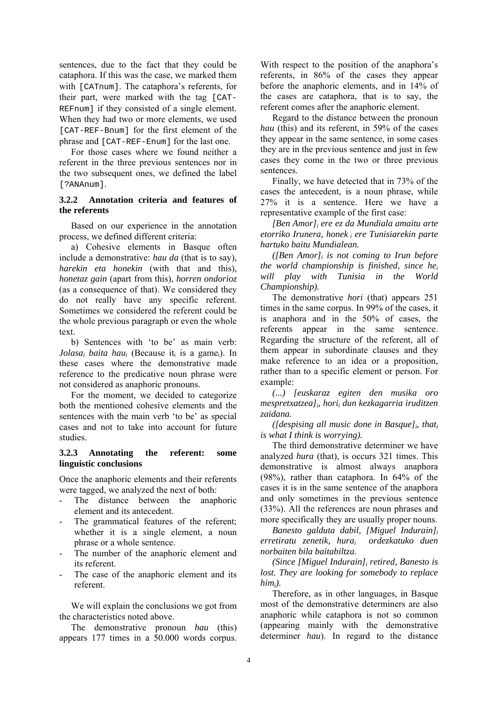sentences, due to the fact that they could be cataphora. If this was the case, we marked them with [CATnum]. The cataphora's referents, for their part, were marked with the tag [CAT-REFnum] if they consisted of a single element. When they had two or more elements, we used [CAT-REF-Bnum] for the first element of the phrase and [CAT-REF-Enum] for the last one.

For those cases where we found neither a referent in the three previous sentences nor in the two subsequent ones, we defined the label [?ANAnum].

### **3.2.2 Annotation criteria and features of the referents**

Based on our experience in the annotation process, we defined different criteria:

a) Cohesive elements in Basque often include a demonstrative: *hau da* (that is to say), *harekin eta honekin* (with that and this), *honetaz gain* (apart from this), *horren ondorioz* (as a consequence of that). We considered they do not really have any specific referent. Sometimes we considered the referent could be the whole previous paragraph or even the whole text.

b) Sentences with 'to be' as main verb: *Jolasa<sub>i</sub> baita hau<sub>i</sub>* (Because it<sub>i</sub> is a game<sub>i</sub>). In these cases where the demonstrative made reference to the predicative noun phrase were not considered as anaphoric pronouns.

For the moment, we decided to categorize both the mentioned cohesive elements and the sentences with the main verb 'to be' as special cases and not to take into account for future studies.

#### **3.2.3 Annotating the referent: some linguistic conclusions**

Once the anaphoric elements and their referents were tagged, we analyzed the next of both:

- The distance between the anaphoric element and its antecedent.
- The grammatical features of the referent; whether it is a single element, a noun phrase or a whole sentence.
- The number of the anaphoric element and its referent.
- The case of the anaphoric element and its referent.

We will explain the conclusions we got from the characteristics noted above.

The demonstrative pronoun *hau* (this) appears 177 times in a 50.000 words corpus. With respect to the position of the anaphora's referents, in 86% of the cases they appear before the anaphoric elements, and in 14% of the cases are cataphora, that is to say, the referent comes after the anaphoric element.

Regard to the distance between the pronoun *hau* (this) and its referent, in 59% of the cases they appear in the same sentence, in some cases they are in the previous sentence and just in few cases they come in the two or three previous sentences.

Finally, we have detected that in 73% of the cases the antecedent, is a noun phrase, while 27% it is a sentence. Here we have a representative example of the first case:

*[Ben Amor]i ere ez da Mundiala amaitu arte etorriko Irunera, honek i ere Tunisiarekin parte hartuko baitu Mundialean.*

*([Ben Amor]i is not coming to Irun before the world championship is finished, since hei will play with Tunisia in the World Championship).* 

The demonstrative *hori* (that) appears 251 times in the same corpus. In 99% of the cases, it is anaphora and in the 50% of cases, the referents appear in the same sentence. Regarding the structure of the referent, all of them appear in subordinate clauses and they make reference to an idea or a proposition, rather than to a specific element or person. For example:

*(...) [euskaraz egiten den musika oro mespretxatzea]i, horii dun kezkagarria iruditzen zaidana.* 

*([despising all music done in Basque]i, thati is what I think is worrying).* 

The third demonstrative determiner we have analyzed *hura* (that), is occurs 321 times. This demonstrative is almost always anaphora (98%), rather than cataphora. In 64% of the cases it is in the same sentence of the anaphora and only sometimes in the previous sentence (33%). All the references are noun phrases and more specifically they are usually proper nouns.

*Banesto galduta dabil, [Miguel Indurain]i erretiratu zenetik, hurai ordezkatuko duen norbaiten bila baitabiltza.* 

*(Since [Miguel Indurain]i retired, Banesto is lost. They are looking for somebody to replace himi).* 

Therefore, as in other languages, in Basque most of the demonstrative determiners are also anaphoric while cataphora is not so common (appearing mainly with the demonstrative determiner *hau*). In regard to the distance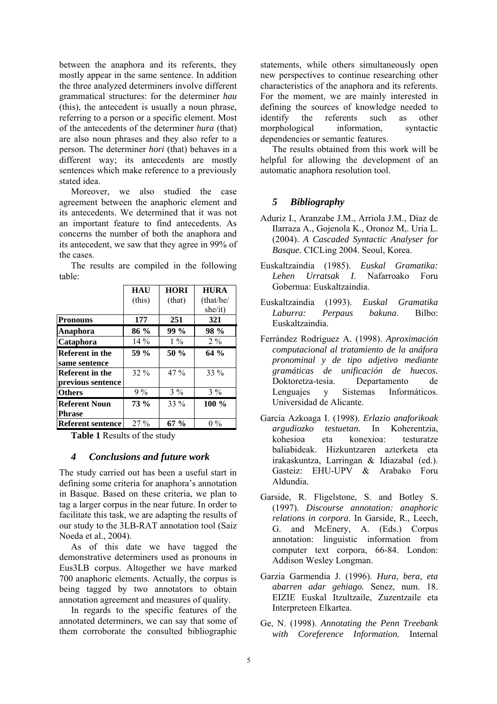between the anaphora and its referents, they mostly appear in the same sentence. In addition the three analyzed determiners involve different grammatical structures: for the determiner *hau*  (this), the antecedent is usually a noun phrase, referring to a person or a specific element. Most of the antecedents of the determiner *hura* (that) are also noun phrases and they also refer to a person. The determiner *hori* (that) behaves in a different way; its antecedents are mostly sentences which make reference to a previously stated idea.

Moreover, we also studied the case agreement between the anaphoric element and its antecedents. We determined that it was not an important feature to find antecedents. As concerns the number of both the anaphora and its antecedent, we saw that they agree in 99% of the cases.

|        |  |  | The results are compiled in the following |
|--------|--|--|-------------------------------------------|
| table: |  |  |                                           |

|                                             | <b>HAU</b><br>(this) | <b>HORI</b><br>(that) | <b>HURA</b><br>(that/he/<br>she/it) |
|---------------------------------------------|----------------------|-----------------------|-------------------------------------|
| <b>Pronouns</b>                             | 177                  | 251                   | 321                                 |
| Anaphora                                    | 86 %                 | 99 %                  | <b>98 %</b>                         |
| Cataphora                                   | $14\%$               | $1\%$                 | $2\%$                               |
| <b>Referent</b> in the<br>same sentence     | 59 %                 | 50 %                  | $64\%$                              |
| <b>Referent in the</b><br>previous sentence | $32\%$               | $47\%$                | 33 %                                |
| <b>Others</b>                               | $9\%$                | $3\%$                 | $3\%$                               |
| <b>Referent Noun</b><br><b>Phrase</b>       | 73 %                 | 33 %                  | $100\%$                             |
| <b>Referent sentence</b>                    | $27\%$               | $67\%$                | $0\%$                               |

**Table 1** Results of the study

#### *4 Conclusions and future work*

The study carried out has been a useful start in defining some criteria for anaphora's annotation in Basque. Based on these criteria, we plan to tag a larger corpus in the near future. In order to facilitate this task, we are adapting the results of our study to the 3LB-RAT annotation tool (Saiz Noeda et al., 2004).

As of this date we have tagged the demonstrative determiners used as pronouns in Eus3LB corpus. Altogether we have marked 700 anaphoric elements. Actually, the corpus is being tagged by two annotators to obtain annotation agreement and measures of quality.

In regards to the specific features of the annotated determiners, we can say that some of them corroborate the consulted bibliographic statements, while others simultaneously open new perspectives to continue researching other characteristics of the anaphora and its referents. For the moment, we are mainly interested in defining the sources of knowledge needed to identify the referents such as other morphological information, syntactic dependencies or semantic features.

The results obtained from this work will be helpful for allowing the development of an automatic anaphora resolution tool.

### *5 Bibliography*

- Aduriz I., Aranzabe J.M., Arriola J.M., Díaz de Ilarraza A., Gojenola K., Oronoz M,. Uria L. (2004). *A Cascaded Syntactic Analyser for Basque.* CICLing 2004. Seoul, Korea.
- Euskaltzaindia (1985). *Euskal Gramatika: Lehen Urratsak I*. Nafarroako Foru Gobernua: Euskaltzaindia.
- Euskaltzaindia (1993). *Euskal Gramatika Laburra: Perpaus bakuna*. Bilbo: Euskaltzaindia.
- Ferrández Rodríguez A. (1998). *Aproximación computacional al tratamiento de la anáfora pronominal y de tipo adjetivo mediante gramáticas de unificación de huecos.* Doktoretza-tesia. Departamento de Lenguajes y Sistemas Informáticos. Universidad de Alicante.
- García Azkoaga I. (1998). *Erlazio anaforikoak argudiozko testuetan.* In Koherentzia, kohesioa eta konexioa: testuratze baliabideak. Hizkuntzaren azterketa eta irakaskuntza, Larringan & Idiazabal (ed.). Gasteiz: EHU-UPV & Arabako Foru Aldundia.
- Garside, R. Fligelstone, S. and Botley S. (1997). *Discourse annotation: anaphoric relations in corpora*. In Garside, R., Leech, G. and McEnery, A. (Eds.) Corpus annotation: linguistic information from computer text corpora, 66-84. London: Addison Wesley Longman.
- Garzia Garmendia J. (1996). *Hura, bera, eta abarren adar gehiago.* Senez, num. 18. EIZIE Euskal Itzultzaile, Zuzentzaile eta Interpreteen Elkartea.
- Ge, N. (1998). *Annotating the Penn Treebank with Coreference Information.* Internal